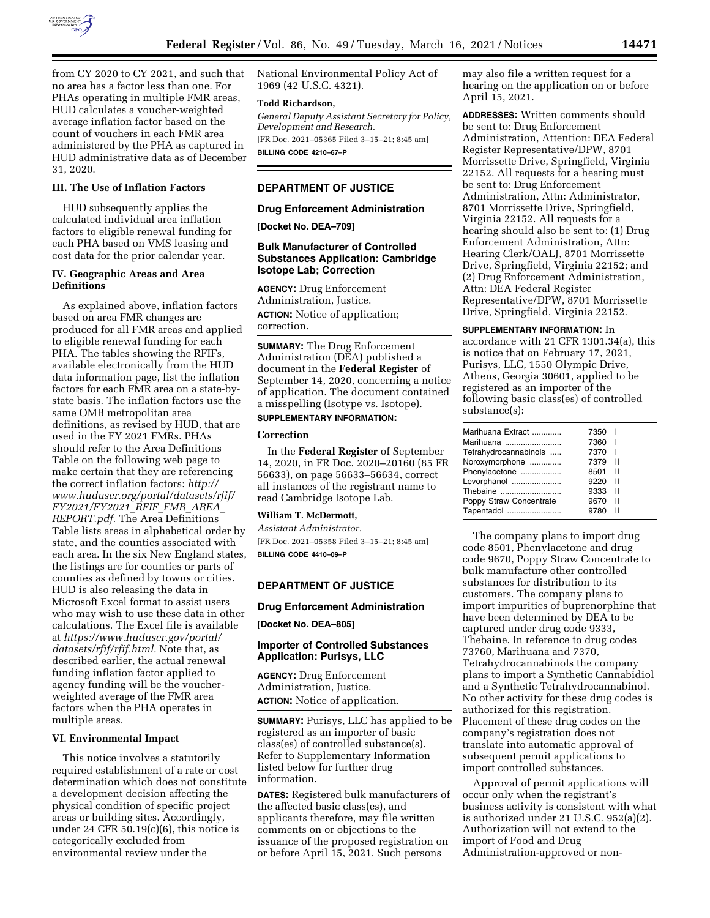

from CY 2020 to CY 2021, and such that no area has a factor less than one. For PHAs operating in multiple FMR areas, HUD calculates a voucher-weighted average inflation factor based on the count of vouchers in each FMR area administered by the PHA as captured in HUD administrative data as of December 31, 2020.

#### **III. The Use of Inflation Factors**

HUD subsequently applies the calculated individual area inflation factors to eligible renewal funding for each PHA based on VMS leasing and cost data for the prior calendar year.

#### **IV. Geographic Areas and Area Definitions**

As explained above, inflation factors based on area FMR changes are produced for all FMR areas and applied to eligible renewal funding for each PHA. The tables showing the RFIFs, available electronically from the HUD data information page, list the inflation factors for each FMR area on a state-bystate basis. The inflation factors use the same OMB metropolitan area definitions, as revised by HUD, that are used in the FY 2021 FMRs. PHAs should refer to the Area Definitions Table on the following web page to make certain that they are referencing the correct inflation factors: *[http://](http://www.huduser.org/portal/datasets/rfif/FY2021/FY2021_RFIF_FMR_AREA_REPORT.pdf) [www.huduser.org/portal/datasets/rfif/](http://www.huduser.org/portal/datasets/rfif/FY2021/FY2021_RFIF_FMR_AREA_REPORT.pdf)  [FY2021/FY2021](http://www.huduser.org/portal/datasets/rfif/FY2021/FY2021_RFIF_FMR_AREA_REPORT.pdf)*\_*RFIF*\_*FMR*\_*AREA*\_ *[REPORT.pdf.](http://www.huduser.org/portal/datasets/rfif/FY2021/FY2021_RFIF_FMR_AREA_REPORT.pdf)* The Area Definitions Table lists areas in alphabetical order by state, and the counties associated with each area. In the six New England states, the listings are for counties or parts of counties as defined by towns or cities. HUD is also releasing the data in Microsoft Excel format to assist users who may wish to use these data in other calculations. The Excel file is available at *[https://www.huduser.gov/portal/](https://www.huduser.gov/portal/datasets/rfif/rfif.html)  [datasets/rfif/rfif.html.](https://www.huduser.gov/portal/datasets/rfif/rfif.html)* Note that, as described earlier, the actual renewal funding inflation factor applied to agency funding will be the voucherweighted average of the FMR area factors when the PHA operates in multiple areas.

### **VI. Environmental Impact**

This notice involves a statutorily required establishment of a rate or cost determination which does not constitute a development decision affecting the physical condition of specific project areas or building sites. Accordingly, under 24 CFR  $50.19(c)(6)$ , this notice is categorically excluded from environmental review under the

National Environmental Policy Act of 1969 (42 U.S.C. 4321).

#### **Todd Richardson,**

*General Deputy Assistant Secretary for Policy, Development and Research.*  [FR Doc. 2021–05365 Filed 3–15–21; 8:45 am]

**BILLING CODE 4210–67–P** 

# **DEPARTMENT OF JUSTICE**

#### **Drug Enforcement Administration**

**[Docket No. DEA–709]** 

# **Bulk Manufacturer of Controlled Substances Application: Cambridge Isotope Lab; Correction**

**AGENCY:** Drug Enforcement Administration, Justice. **ACTION:** Notice of application; correction.

**SUMMARY:** The Drug Enforcement Administration (DEA) published a document in the **Federal Register** of September 14, 2020, concerning a notice of application. The document contained a misspelling (Isotype vs. Isotope).

#### **SUPPLEMENTARY INFORMATION:**

#### **Correction**

In the **Federal Register** of September 14, 2020, in FR Doc. 2020–20160 (85 FR 56633), on page 56633–56634, correct all instances of the registrant name to read Cambridge Isotope Lab.

#### **William T. McDermott,**

*Assistant Administrator.*  [FR Doc. 2021–05358 Filed 3–15–21; 8:45 am]

**BILLING CODE 4410–09–P** 

#### **DEPARTMENT OF JUSTICE**

#### **Drug Enforcement Administration**

**[Docket No. DEA–805]** 

# **Importer of Controlled Substances Application: Purisys, LLC**

**AGENCY:** Drug Enforcement Administration, Justice. **ACTION:** Notice of application.

**SUMMARY:** Purisys, LLC has applied to be registered as an importer of basic class(es) of controlled substance(s). Refer to Supplementary Information listed below for further drug information.

**DATES:** Registered bulk manufacturers of the affected basic class(es), and applicants therefore, may file written comments on or objections to the issuance of the proposed registration on or before April 15, 2021. Such persons

may also file a written request for a hearing on the application on or before April 15, 2021.

**ADDRESSES:** Written comments should be sent to: Drug Enforcement Administration, Attention: DEA Federal Register Representative/DPW, 8701 Morrissette Drive, Springfield, Virginia 22152. All requests for a hearing must be sent to: Drug Enforcement Administration, Attn: Administrator, 8701 Morrissette Drive, Springfield, Virginia 22152. All requests for a hearing should also be sent to: (1) Drug Enforcement Administration, Attn: Hearing Clerk/OALJ, 8701 Morrissette Drive, Springfield, Virginia 22152; and (2) Drug Enforcement Administration, Attn: DEA Federal Register Representative/DPW, 8701 Morrissette Drive, Springfield, Virginia 22152.

**SUPPLEMENTARY INFORMATION:** In accordance with 21 CFR 1301.34(a), this is notice that on February 17, 2021, Purisys, LLC, 1550 Olympic Drive, Athens, Georgia 30601, applied to be registered as an importer of the following basic class(es) of controlled substance(s):

| Marihuana Extract       | 7350 |   |
|-------------------------|------|---|
| Marihuana               | 7360 |   |
| Tetrahydrocannabinols   | 7370 |   |
| Noroxymorphone          | 7379 | Ш |
| Phenylacetone           | 8501 | Ш |
| Levorphanol             | 9220 | Ш |
| Thebaine                | 9333 | Ш |
| Poppy Straw Concentrate | 9670 | Ш |
| Tapentadol              | 9780 | Ш |

The company plans to import drug code 8501, Phenylacetone and drug code 9670, Poppy Straw Concentrate to bulk manufacture other controlled substances for distribution to its customers. The company plans to import impurities of buprenorphine that have been determined by DEA to be captured under drug code 9333, Thebaine. In reference to drug codes 73760, Marihuana and 7370, Tetrahydrocannabinols the company plans to import a Synthetic Cannabidiol and a Synthetic Tetrahydrocannabinol. No other activity for these drug codes is authorized for this registration. Placement of these drug codes on the company's registration does not translate into automatic approval of subsequent permit applications to import controlled substances.

Approval of permit applications will occur only when the registrant's business activity is consistent with what is authorized under 21 U.S.C. 952(a)(2). Authorization will not extend to the import of Food and Drug Administration-approved or non